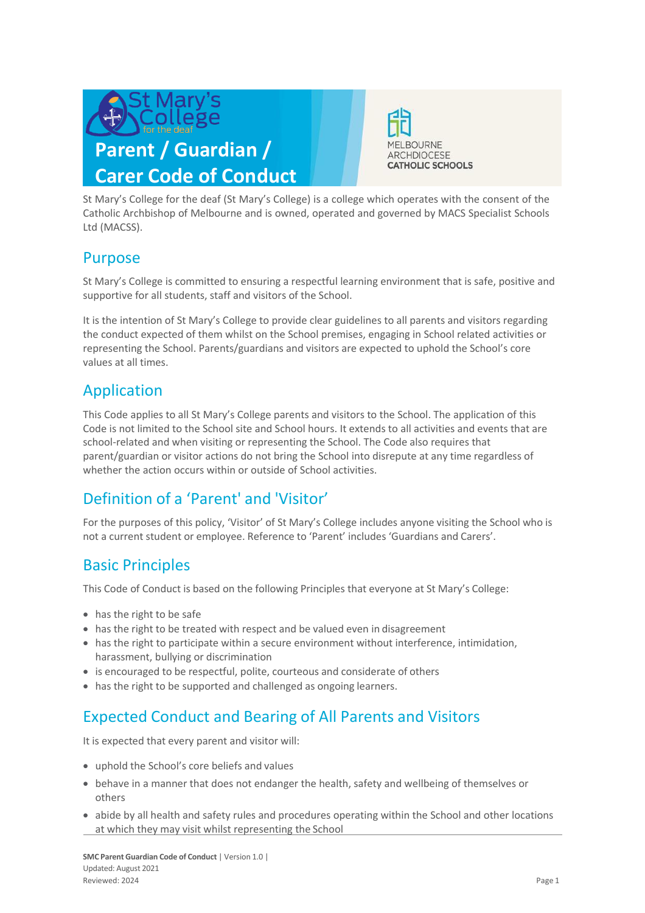



St Mary's College for the deaf (St Mary's College) is a college which operates with the consent of the Catholic Archbishop of Melbourne and is owned, operated and governed by MACS Specialist Schools Ltd (MACSS).

#### Purpose

St Mary's College is committed to ensuring a respectful learning environment that is safe, positive and supportive for all students, staff and visitors of the School.

It is the intention of St Mary's College to provide clear guidelines to all parents and visitors regarding the conduct expected of them whilst on the School premises, engaging in School related activities or representing the School. Parents/guardians and visitors are expected to uphold the School's core values at all times.

### Application

This Code applies to all St Mary's College parents and visitors to the School. The application of this Code is not limited to the School site and School hours. It extends to all activities and events that are school-related and when visiting or representing the School. The Code also requires that parent/guardian or visitor actions do not bring the School into disrepute at any time regardless of whether the action occurs within or outside of School activities.

# Definition of a 'Parent' and 'Visitor'

For the purposes of this policy, 'Visitor' of St Mary's College includes anyone visiting the School who is not a current student or employee. Reference to 'Parent' includes 'Guardians and Carers'.

### Basic Principles

This Code of Conduct is based on the following Principles that everyone at St Mary's College:

- has the right to be safe
- has the right to be treated with respect and be valued even in disagreement
- has the right to participate within a secure environment without interference, intimidation, harassment, bullying or discrimination
- is encouraged to be respectful, polite, courteous and considerate of others
- has the right to be supported and challenged as ongoing learners.

# Expected Conduct and Bearing of All Parents and Visitors

It is expected that every parent and visitor will:

- uphold the School's core beliefs and values
- behave in a manner that does not endanger the health, safety and wellbeing of themselves or others
- abide by all health and safety rules and procedures operating within the School and other locations at which they may visit whilst representing the School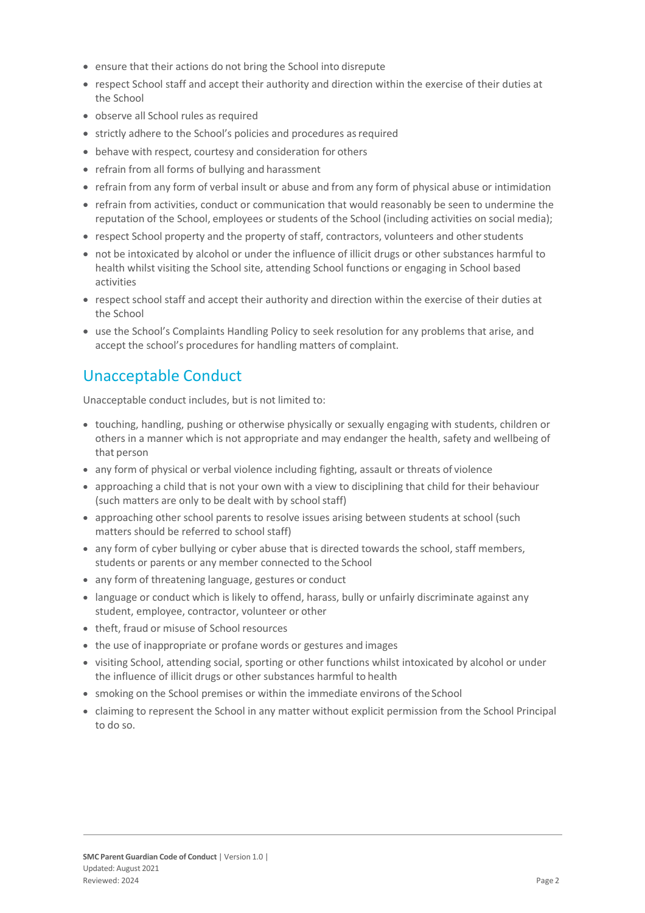- ensure that their actions do not bring the School into disrepute
- respect School staff and accept their authority and direction within the exercise of their duties at the School
- observe all School rules as required
- strictly adhere to the School's policies and procedures as required
- behave with respect, courtesy and consideration for others
- refrain from all forms of bullying and harassment
- refrain from any form of verbal insult or abuse and from any form of physical abuse or intimidation
- refrain from activities, conduct or communication that would reasonably be seen to undermine the reputation of the School, employees or students of the School (including activities on social media);
- respect School property and the property of staff, contractors, volunteers and other students
- not be intoxicated by alcohol or under the influence of illicit drugs or other substances harmful to health whilst visiting the School site, attending School functions or engaging in School based activities
- respect school staff and accept their authority and direction within the exercise of their duties at the School
- use the School's Complaints Handling Policy to seek resolution for any problems that arise, and accept the school's procedures for handling matters of complaint.

### Unacceptable Conduct

Unacceptable conduct includes, but is not limited to:

- touching, handling, pushing or otherwise physically or sexually engaging with students, children or others in a manner which is not appropriate and may endanger the health, safety and wellbeing of that person
- any form of physical or verbal violence including fighting, assault or threats of violence
- approaching a child that is not your own with a view to disciplining that child for their behaviour (such matters are only to be dealt with by school staff)
- approaching other school parents to resolve issues arising between students at school (such matters should be referred to school staff)
- any form of cyber bullying or cyber abuse that is directed towards the school, staff members, students or parents or any member connected to the School
- any form of threatening language, gestures or conduct
- language or conduct which is likely to offend, harass, bully or unfairly discriminate against any student, employee, contractor, volunteer or other
- theft, fraud or misuse of School resources
- the use of inappropriate or profane words or gestures and images
- visiting School, attending social, sporting or other functions whilst intoxicated by alcohol or under the influence of illicit drugs or other substances harmful to health
- smoking on the School premises or within the immediate environs of the School
- claiming to represent the School in any matter without explicit permission from the School Principal to do so.